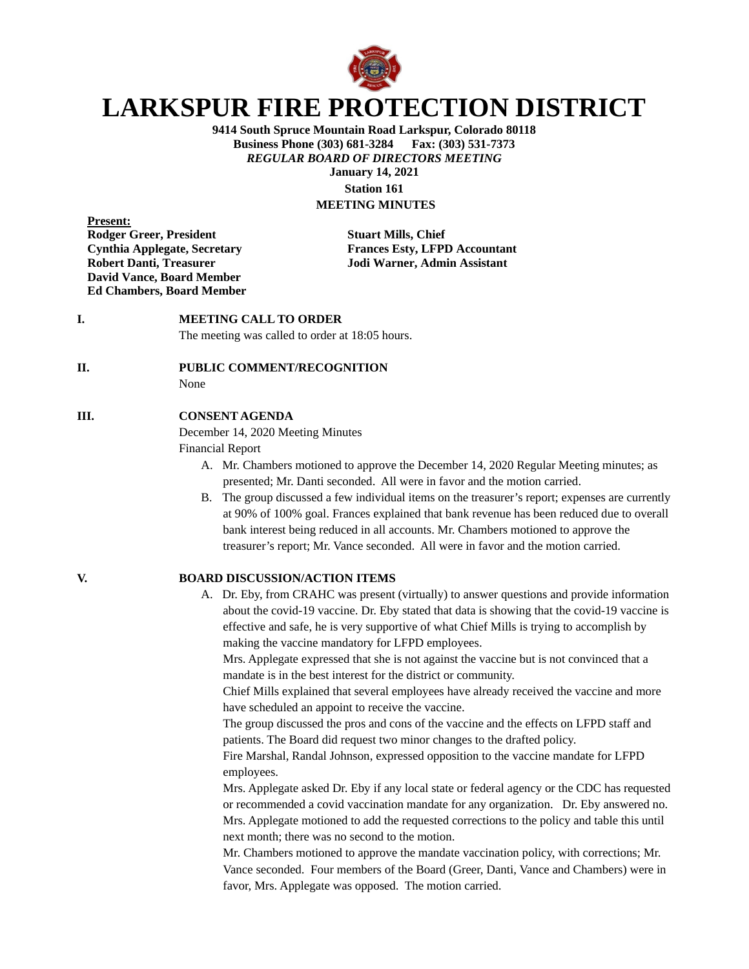

# **LARKSPUR FIRE PROTECTION DISTRICT**

**9414 South Spruce Mountain Road Larkspur, Colorado 80118 Business Phone (303) 681-3284 Fax: (303) 531-7373** *REGULAR BOARD OF DIRECTORS MEETING* **January 14, 2021 Station 161 MEETING MINUTES**

**Present: Rodger Greer, President Stuart Mills, Chief David Vance, Board Member Ed Chambers, Board Member**

**Cynthia Applegate, Secretary Frances Esty, LFPD Accountant Robert Danti, Treasurer Jodi Warner, Admin Assistant**

# **I. MEETING CALL TO ORDER**

The meeting was called to order at 18:05 hours.

### **II. PUBLIC COMMENT/RECOGNITION**

None

### **III. CONSENT AGENDA**

December 14, 2020 Meeting Minutes

Financial Report

- A. Mr. Chambers motioned to approve the December 14, 2020 Regular Meeting minutes; as presented; Mr. Danti seconded. All were in favor and the motion carried.
- B. The group discussed a few individual items on the treasurer's report; expenses are currently at 90% of 100% goal. Frances explained that bank revenue has been reduced due to overall bank interest being reduced in all accounts. Mr. Chambers motioned to approve the treasurer's report; Mr. Vance seconded. All were in favor and the motion carried.

- **V. BOARD DISCUSSION/ACTION ITEMS**
	- A. Dr. Eby, from CRAHC was present (virtually) to answer questions and provide information about the covid-19 vaccine. Dr. Eby stated that data is showing that the covid-19 vaccine is effective and safe, he is very supportive of what Chief Mills is trying to accomplish by making the vaccine mandatory for LFPD employees.

Mrs. Applegate expressed that she is not against the vaccine but is not convinced that a mandate is in the best interest for the district or community.

Chief Mills explained that several employees have already received the vaccine and more have scheduled an appoint to receive the vaccine.

The group discussed the pros and cons of the vaccine and the effects on LFPD staff and patients. The Board did request two minor changes to the drafted policy.

Fire Marshal, Randal Johnson, expressed opposition to the vaccine mandate for LFPD employees.

Mrs. Applegate asked Dr. Eby if any local state or federal agency or the CDC has requested or recommended a covid vaccination mandate for any organization. Dr. Eby answered no. Mrs. Applegate motioned to add the requested corrections to the policy and table this until next month; there was no second to the motion.

Mr. Chambers motioned to approve the mandate vaccination policy, with corrections; Mr. Vance seconded. Four members of the Board (Greer, Danti, Vance and Chambers) were in favor, Mrs. Applegate was opposed. The motion carried.